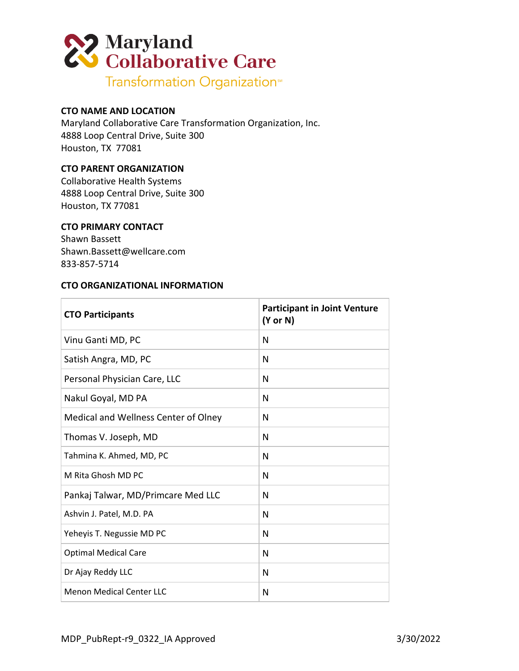

# **CTO NAME AND LOCATION**

Maryland Collaborative Care Transformation Organization, Inc. 4888 Loop Central Drive, Suite 300 Houston, TX 77081

## **CTO PARENT ORGANIZATION**

Collaborative Health Systems 4888 Loop Central Drive, Suite 300 Houston, TX 77081

### **CTO PRIMARY CONTACT**

Shawn Bassett Shawn.Bassett@wellcare.com 833-857-5714

#### **CTO ORGANIZATIONAL INFORMATION**

| <b>CTO Participants</b>              | <b>Participant in Joint Venture</b><br>$(Y \text{ or } N)$ |
|--------------------------------------|------------------------------------------------------------|
| Vinu Ganti MD, PC                    | N                                                          |
| Satish Angra, MD, PC                 | N                                                          |
| Personal Physician Care, LLC         | N                                                          |
| Nakul Goyal, MD PA                   | N                                                          |
| Medical and Wellness Center of Olney | N                                                          |
| Thomas V. Joseph, MD                 | N                                                          |
| Tahmina K. Ahmed, MD, PC             | N                                                          |
| M Rita Ghosh MD PC                   | N                                                          |
| Pankaj Talwar, MD/Primcare Med LLC   | N                                                          |
| Ashvin J. Patel, M.D. PA             | N                                                          |
| Yeheyis T. Negussie MD PC            | N                                                          |
| <b>Optimal Medical Care</b>          | N                                                          |
| Dr Ajay Reddy LLC                    | N                                                          |
| <b>Menon Medical Center LLC</b>      | N                                                          |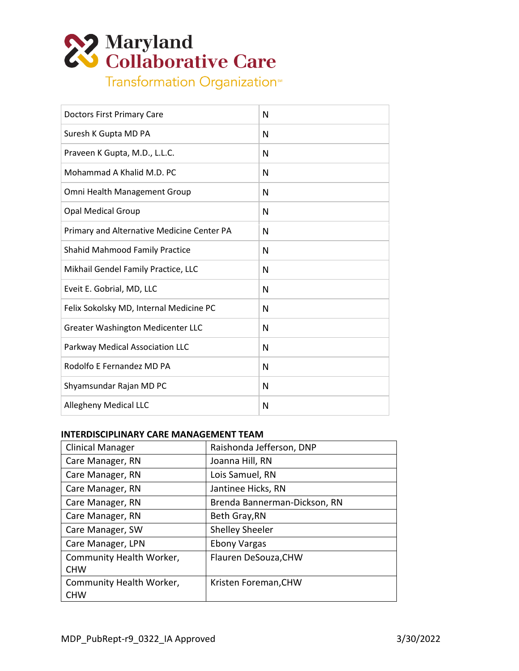

| <b>Doctors First Primary Care</b>          | N |
|--------------------------------------------|---|
| Suresh K Gupta MD PA                       | N |
| Praveen K Gupta, M.D., L.L.C.              | N |
| Mohammad A Khalid M.D. PC                  | N |
| Omni Health Management Group               | N |
| <b>Opal Medical Group</b>                  | N |
| Primary and Alternative Medicine Center PA | N |
| <b>Shahid Mahmood Family Practice</b>      | N |
| Mikhail Gendel Family Practice, LLC        | N |
| Eveit E. Gobrial, MD, LLC                  | N |
| Felix Sokolsky MD, Internal Medicine PC    | N |
| Greater Washington Medicenter LLC          | N |
| Parkway Medical Association LLC            | N |
| Rodolfo E Fernandez MD PA                  | N |
| Shyamsundar Rajan MD PC                    | N |
| <b>Allegheny Medical LLC</b>               | N |

# **INTERDISCIPLINARY CARE MANAGEMENT TEAM**

| <b>Clinical Manager</b>  | Raishonda Jefferson, DNP     |
|--------------------------|------------------------------|
| Care Manager, RN         | Joanna Hill, RN              |
| Care Manager, RN         | Lois Samuel, RN              |
| Care Manager, RN         | Jantinee Hicks, RN           |
| Care Manager, RN         | Brenda Bannerman-Dickson, RN |
| Care Manager, RN         | Beth Gray, RN                |
| Care Manager, SW         | <b>Shelley Sheeler</b>       |
| Care Manager, LPN        | <b>Ebony Vargas</b>          |
| Community Health Worker, | Flauren DeSouza, CHW         |
| <b>CHW</b>               |                              |
| Community Health Worker, | Kristen Foreman, CHW         |
| <b>CHW</b>               |                              |